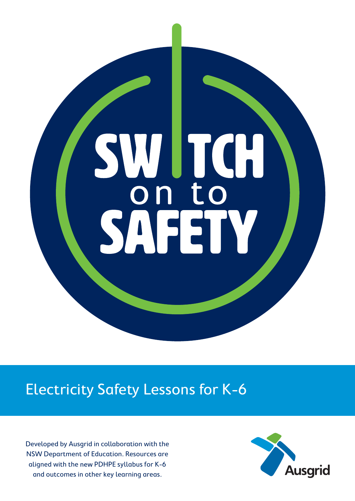

# Electricity Safety Lessons for K-6

Developed by Ausgrid in collaboration with the NSW Department of Education. Resources are aligned with the new PDHPE syllabus for K-6 and outcomes in other key learning areas.

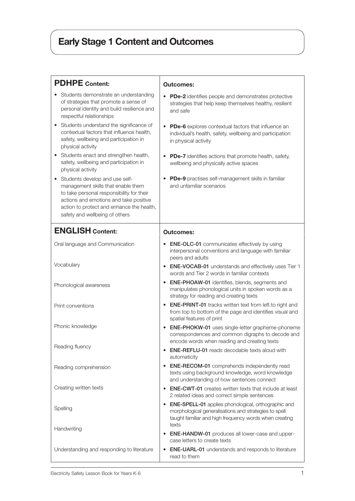# Early Stage 1 Content and Outcomes

| <b>PDHPE</b> Content:                                                                                                                                                                                                                           | <b>Outcomes:</b>                                                                                                                                                                       |
|-------------------------------------------------------------------------------------------------------------------------------------------------------------------------------------------------------------------------------------------------|----------------------------------------------------------------------------------------------------------------------------------------------------------------------------------------|
| Students demonstrate an understanding<br>of strategies that promote a sense of<br>personal identity and build resilience and<br>respectful relationships                                                                                        | PDe-2 identifies people and demonstrates protective<br>strategies that help keep themselves healthy, resilient<br>and safe                                                             |
| Students understand the significance of<br>٠<br>contextual factors that influence health,<br>safety, wellbeing and participation in<br>physical activity                                                                                        | PDe-6 explores contextual factors that influence an<br>individual's health, safety, wellbeing and participation<br>in physical activity                                                |
| Students enact and strengthen health,<br>safety, wellbeing and participation in<br>physical activity                                                                                                                                            | <b>PDe-7</b> identifies actions that promote health, safety,<br>wellbeing and physically active spaces                                                                                 |
| Students develop and use self-<br>٠<br>management skills that enable them<br>to take personal responsibility for their<br>actions and emotions and take positive<br>action to protect and enhance the health,<br>safety and wellbeing of others | PDe-9 practises self-management skills in familiar<br>and unfamiliar scenarios                                                                                                         |
| <b>ENGLISH Content:</b>                                                                                                                                                                                                                         | <b>Outcomes:</b>                                                                                                                                                                       |
| Oral language and Communication                                                                                                                                                                                                                 | <b>ENE-OLC-01</b> communicates effectively by using<br>interpersonal conventions and language with familiar<br>peers and adults                                                        |
| Vocabulary                                                                                                                                                                                                                                      | • ENE-VOCAB-01 understands and effectively uses Tier 1<br>words and Tier 2 words in familiar contexts                                                                                  |
| Phonological awareness                                                                                                                                                                                                                          | <b>ENE-PHOAW-01</b> identifies, blends, segments and<br>$\bullet$<br>manipulates phonological units in spoken words as a<br>strategy for reading and creating texts                    |
| Print conventions                                                                                                                                                                                                                               | <b>ENE-PRINT-01</b> tracks written text from left to right and<br>from top to bottom of the page and identifies visual and<br>spatial features of print                                |
| Phonic knowledge                                                                                                                                                                                                                                | <b>ENE-PHOKW-01</b> uses single-letter grapheme-phoneme<br>correspondences and common digraphs to decode and<br>encode words when reading and creating texts                           |
| Reading fluency                                                                                                                                                                                                                                 | <b>ENE-REFLU-01</b> reads decodable texts aloud with<br>$\bullet$<br>automaticity                                                                                                      |
| Reading comprehension                                                                                                                                                                                                                           | <b>ENE-RECOM-01</b> comprehends independently read<br>texts using background knowledge, word knowledge<br>and understanding of how sentences connect                                   |
| Creating written texts                                                                                                                                                                                                                          | <b>ENE-CWT-01</b> creates written texts that include at least<br>2 related ideas and correct simple sentences                                                                          |
| Spelling                                                                                                                                                                                                                                        | <b>ENE-SPELL-01</b> applies phonological, orthographic and<br>morphological generalisations and strategies to spell<br>taught familiar and high frequency words when creating<br>texts |
| Handwriting                                                                                                                                                                                                                                     | <b>ENE-HANDW-01</b> produces all lower-case and upper-<br>$\bullet$<br>case letters to create texts                                                                                    |
| Understanding and responding to literature                                                                                                                                                                                                      | <b>ENE-UARL-01</b> understands and responds to literature<br>٠<br>read to them                                                                                                         |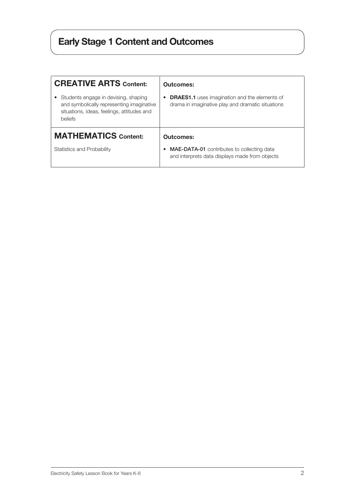# Early Stage 1 Content and Outcomes

| <b>CREATIVE ARTS Content:</b>                                                                                                              | <b>Outcomes:</b>                                                                                          |
|--------------------------------------------------------------------------------------------------------------------------------------------|-----------------------------------------------------------------------------------------------------------|
| Students engage in devising, shaping<br>and symbolically representing imaginative<br>situations, ideas, feelings, attitudes and<br>beliefs | <b>DRAES1.1</b> uses imagination and the elements of<br>drama in imaginative play and dramatic situations |
| <b>MATHEMATICS Content:</b>                                                                                                                | Outcomes:                                                                                                 |
| Statistics and Probability                                                                                                                 | <b>MAE-DATA-01</b> contributes to collecting data<br>٠<br>and interprets data displays made from objects  |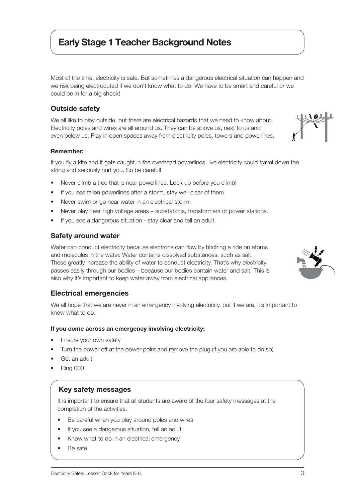## Early Stage 1 Teacher Background Notes

Most of the time, electricity is safe. But sometimes a dangerous electrical situation can happen and we risk being electrocuted if we don't know what to do. We have to be smart and careful or we could be in for a big shock!

### Outside safety

We all like to play outside, but there are electrical hazards that we need to know about. Electricity poles and wires are all around us. They can be above us, next to us and even below us. Play in open spaces away from electricity poles, towers and powerlines.

#### Remember:

If you fly a kite and it gets caught in the overhead powerlines, live electricity could travel down the string and seriously hurt you. So be careful!

- Never climb a tree that is near powerlines. Look up before you climb!
- If you see fallen powerlines after a storm, stay well clear of them.
- Never swim or go near water in an electrical storm.
- Never play near high voltage areas substations, transformers or power stations.
- If you see a dangerous situation stay clear and tell an adult.

### Safety around water

Water can conduct electricity because electrons can flow by hitching a ride on atoms and molecules in the water. Water contains dissolved substances, such as salt. These greatly increase the ability of water to conduct electricity. That's why electricity passes easily through our bodies – because our bodies contain water and salt. This is also why it's important to keep water away from electrical appliances.

### Electrical emergencies

We all hope that we are never in an emergency involving electricity, but if we are, it's important to know what to do.

#### If you come across an emergency involving electricity:

- Ensure your own safety
- Turn the power off at the power point and remove the plug (if you are able to do so)
- Get an adult
- Ring 000

## Key safety messages

It is important to ensure that all students are aware of the four safety messages at the completion of the activities.

- Be careful when you play around poles and wires
- If you see a dangerous situation, tell an adult
- Know what to do in an electrical emergency
- Be safe



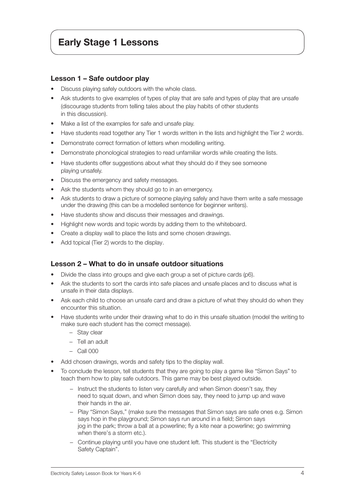## Early Stage 1 Lessons

#### Lesson 1 – Safe outdoor play

- Discuss playing safely outdoors with the whole class.
- Ask students to give examples of types of play that are safe and types of play that are unsafe (discourage students from telling tales about the play habits of other students in this discussion).
- Make a list of the examples for safe and unsafe play.
- Have students read together any Tier 1 words written in the lists and highlight the Tier 2 words.
- Demonstrate correct formation of letters when modelling writing.
- Demonstrate phonological strategies to read unfamiliar words while creating the lists.
- Have students offer suggestions about what they should do if they see someone playing unsafely.
- Discuss the emergency and safety messages.
- Ask the students whom they should go to in an emergency.
- Ask students to draw a picture of someone playing safely and have them write a safe message under the drawing (this can be a modelled sentence for beginner writers).
- Have students show and discuss their messages and drawings.
- Highlight new words and topic words by adding them to the whiteboard.
- Create a display wall to place the lists and some chosen drawings.
- Add topical (Tier 2) words to the display.

#### Lesson 2 – What to do in unsafe outdoor situations

- Divide the class into groups and give each group a set of picture cards (p6).
- Ask the students to sort the cards into safe places and unsafe places and to discuss what is unsafe in their data displays.
- Ask each child to choose an unsafe card and draw a picture of what they should do when they encounter this situation.
- Have students write under their drawing what to do in this unsafe situation (model the writing to make sure each student has the correct message).
	- − Stay clear
	- − Tell an adult
	- − Call 000
- Add chosen drawings, words and safety tips to the display wall.
- To conclude the lesson, tell students that they are going to play a game like "Simon Says" to teach them how to play safe outdoors. This game may be best played outside.
	- − Instruct the students to listen very carefully and when Simon doesn't say, they need to squat down, and when Simon does say, they need to jump up and wave their hands in the air.
	- − Play "Simon Says," (make sure the messages that Simon says are safe ones e.g. Simon says hop in the playground; Simon says run around in a field; Simon says jog in the park; throw a ball at a powerline; fly a kite near a powerline; go swimming when there's a storm etc.).
	- − Continue playing until you have one student left. This student is the "Electricity Safety Captain".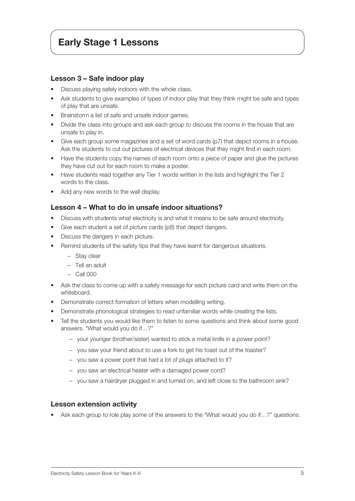## Early Stage 1 Lessons

#### Lesson 3 – Safe indoor play

- Discuss playing safely indoors with the whole class.
- Ask students to give examples of types of indoor play that they think might be safe and types of play that are unsafe.
- Brainstorm a list of safe and unsafe indoor games.
- Divide the class into groups and ask each group to discuss the rooms in the house that are unsafe to play in.
- Give each group some magazines and a set of word cards (p7) that depict rooms in a house. Ask the students to cut out pictures of electrical devices that they might find in each room.
- Have the students copy the names of each room onto a piece of paper and glue the pictures they have cut out for each room to make a poster.
- Have students read together any Tier 1 words written in the lists and highlight the Tier 2 words to the class.
- Add any new words to the wall display.

#### Lesson 4 – What to do in unsafe indoor situations?

- Discuss with students what electricity is and what it means to be safe around electricity.
- Give each student a set of picture cards (p8) that depict dangers.
- Discuss the dangers in each picture.
- Remind students of the safety tips that they have learnt for dangerous situations.
	- − Stay clear
	- − Tell an adult
	- − Call 000
- Ask the class to come up with a safety message for each picture card and write them on the whiteboard.
- Demonstrate correct formation of letters when modelling writing.
- Demonstrate phonological strategies to read unfamiliar words while creating the lists.
- Tell the students you would like them to listen to some questions and think about some good answers. "What would you do if…?"
	- − your younger (brother/sister) wanted to stick a metal knife in a power point?
	- − you saw your friend about to use a fork to get his toast out of the toaster?
	- − you saw a power point that had a lot of plugs attached to it?
	- − you saw an electrical heater with a damaged power cord?
	- − you saw a hairdryer plugged in and turned on, and left close to the bathroom sink?

#### Lesson extension activity

Ask each group to role play some of the answers to the "What would you do if...?" questions.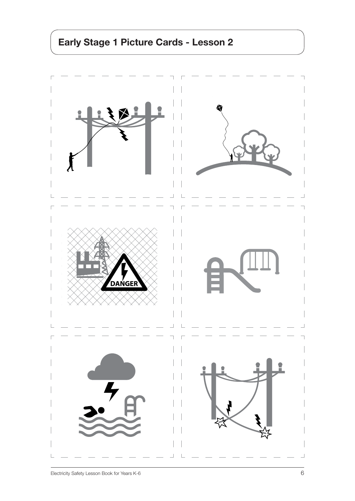# Early Stage 1 Picture Cards - Lesson 2

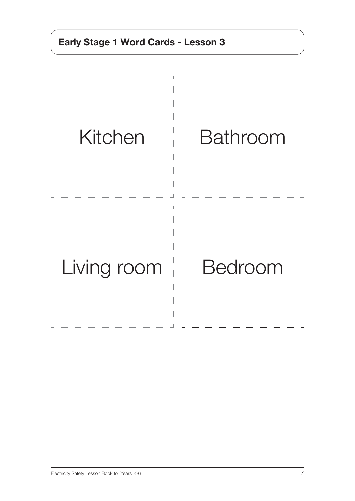# Early Stage 1 Word Cards - Lesson 3

| Kitchen     | <b>Bathroom</b> |
|-------------|-----------------|
| Living room | <b>Bedroom</b>  |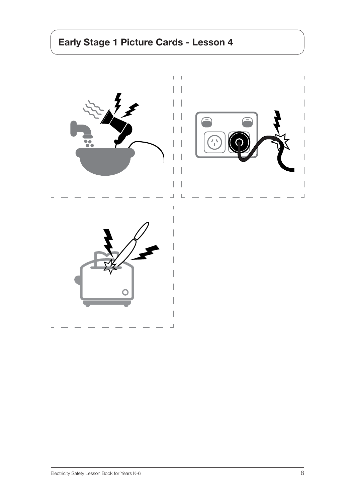# Early Stage 1 Picture Cards - Lesson 4

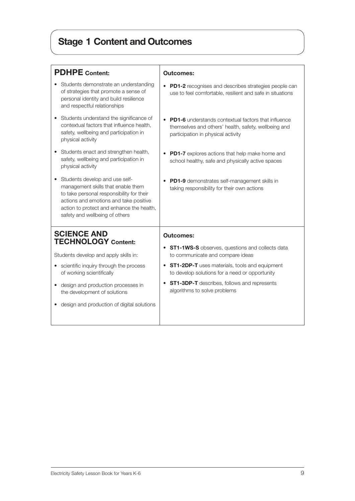# Stage 1 Content and Outcomes

| <b>PDHPE</b> Content:                                                                                                                                                                                                                      | <b>Outcomes:</b>                                                                                                                                                      |
|--------------------------------------------------------------------------------------------------------------------------------------------------------------------------------------------------------------------------------------------|-----------------------------------------------------------------------------------------------------------------------------------------------------------------------|
| Students demonstrate an understanding<br>of strategies that promote a sense of<br>personal identity and build resilience<br>and respectful relationships                                                                                   | PD1-2 recognises and describes strategies people can<br>use to feel comfortable, resilient and safe in situations                                                     |
| Students understand the significance of<br>contextual factors that influence health,<br>safety, wellbeing and participation in<br>physical activity                                                                                        | <b>PD1-6</b> understands contextual factors that influence<br>$\bullet$<br>themselves and others' health, safety, wellbeing and<br>participation in physical activity |
| Students enact and strengthen health,<br>safety, wellbeing and participation in<br>physical activity                                                                                                                                       | PD1-7 explores actions that help make home and<br>school healthy, safe and physically active spaces                                                                   |
| Students develop and use self-<br>management skills that enable them<br>to take personal responsibility for their<br>actions and emotions and take positive<br>action to protect and enhance the health,<br>safety and wellbeing of others | PD1-9 demonstrates self-management skills in<br>taking responsibility for their own actions                                                                           |
| <b>SCIENCE AND</b>                                                                                                                                                                                                                         | <b>Outcomes:</b>                                                                                                                                                      |
| <b>TECHNOLOGY Content:</b><br>Students develop and apply skills in:                                                                                                                                                                        | <b>ST1-1WS-S</b> observes, questions and collects data<br>to communicate and compare ideas                                                                            |
| scientific inquiry through the process<br>of working scientifically                                                                                                                                                                        | <b>ST1-2DP-T</b> uses materials, tools and equipment<br>to develop solutions for a need or opportunity                                                                |
| design and production processes in<br>$\bullet$<br>the development of solutions                                                                                                                                                            | ST1-3DP-T describes, follows and represents<br>algorithms to solve problems                                                                                           |
| design and production of digital solutions                                                                                                                                                                                                 |                                                                                                                                                                       |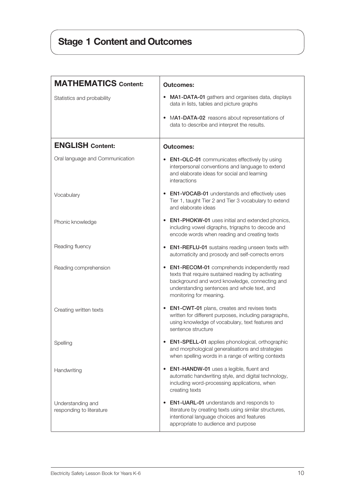# Stage 1 Content and Outcomes

| <b>MATHEMATICS Content:</b>                   | <b>Outcomes:</b>                                                                                                                                                                                                                    |
|-----------------------------------------------|-------------------------------------------------------------------------------------------------------------------------------------------------------------------------------------------------------------------------------------|
| Statistics and probability                    | MA1-DATA-01 gathers and organises data, displays<br>$\bullet$<br>data in lists, tables and picture graphs                                                                                                                           |
|                                               | MA1-DATA-02 reasons about representations of<br>٠<br>data to describe and interpret the results.                                                                                                                                    |
| <b>ENGLISH Content:</b>                       | <b>Outcomes:</b>                                                                                                                                                                                                                    |
| Oral language and Communication               | <b>EN1-OLC-01</b> communicates effectively by using<br>interpersonal conventions and language to extend<br>and elaborate ideas for social and learning<br>interactions                                                              |
| Vocabulary                                    | <b>EN1-VOCAB-01</b> understands and effectively uses<br>Tier 1, taught Tier 2 and Tier 3 vocabulary to extend<br>and elaborate ideas                                                                                                |
| Phonic knowledge                              | EN1-PHOKW-01 uses initial and extended phonics,<br>including vowel digraphs, trigraphs to decode and<br>encode words when reading and creating texts                                                                                |
| Reading fluency                               | • EN1-REFLU-01 sustains reading unseen texts with<br>automaticity and prosody and self-corrects errors                                                                                                                              |
| Reading comprehension                         | <b>EN1-RECOM-01</b> comprehends independently read<br>texts that require sustained reading by activating<br>background and word knowledge, connecting and<br>understanding sentences and whole text, and<br>monitoring for meaning. |
| Creating written texts                        | <b>EN1-CWT-01</b> plans, creates and revises texts<br>written for different purposes, including paragraphs,<br>using knowledge of vocabulary, text features and<br>sentence structure                                               |
| Spelling                                      | EN1-SPELL-01 applies phonological, orthographic<br>and morphological generalisations and strategies<br>when spelling words in a range of writing contexts                                                                           |
| Handwriting                                   | <b>EN1-HANDW-01</b> uses a legible, fluent and<br>automatic handwriting style, and digital technology,<br>including word-processing applications, when<br>creating texts                                                            |
| Understanding and<br>responding to literature | <b>EN1-UARL-01</b> understands and responds to<br>literature by creating texts using similar structures,<br>intentional language choices and features<br>appropriate to audience and purpose                                        |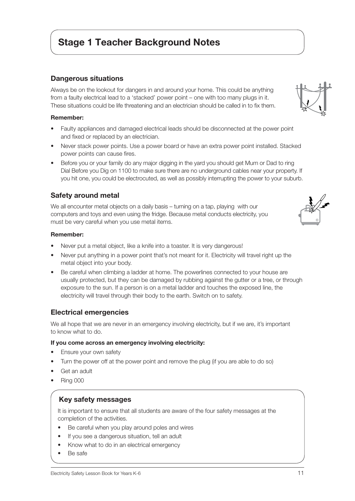## Stage 1 Teacher Background Notes

### Dangerous situations

Always be on the lookout for dangers in and around your home. This could be anything from a faulty electrical lead to a 'stacked' power point – one with too many plugs in it. These situations could be life threatening and an electrician should be called in to fix them.

#### Remember:

- Faulty appliances and damaged electrical leads should be disconnected at the power point and fixed or replaced by an electrician.
- Never stack power points. Use a power board or have an extra power point installed. Stacked power points can cause fires.
- Before you or your family do any major digging in the yard you should get Mum or Dad to ring Dial Before you Dig on 1100 to make sure there are no underground cables near your property. If you hit one, you could be electrocuted, as well as possibly interrupting the power to your suburb.

### Safety around metal

We all encounter metal objects on a daily basis – turning on a tap, playing with our computers and toys and even using the fridge. Because metal conducts electricity, you must be very careful when you use metal items.

#### Remember:

- Never put a metal object, like a knife into a toaster. It is very dangerous!
- Never put anything in a power point that's not meant for it. Electricity will travel right up the metal object into your body.
- Be careful when climbing a ladder at home. The powerlines connected to your house are usually protected, but they can be damaged by rubbing against the gutter or a tree, or through exposure to the sun. If a person is on a metal ladder and touches the exposed line, the electricity will travel through their body to the earth. Switch on to safety.

#### Electrical emergencies

We all hope that we are never in an emergency involving electricity, but if we are, it's important to know what to do.

#### If you come across an emergency involving electricity:

- Ensure your own safety
- Turn the power off at the power point and remove the plug (if you are able to do so)
- Get an adult
- Ring 000

### Key safety messages

It is important to ensure that all students are aware of the four safety messages at the completion of the activities.

- Be careful when you play around poles and wires
- If you see a dangerous situation, tell an adult
- Know what to do in an electrical emergency
- Be safe

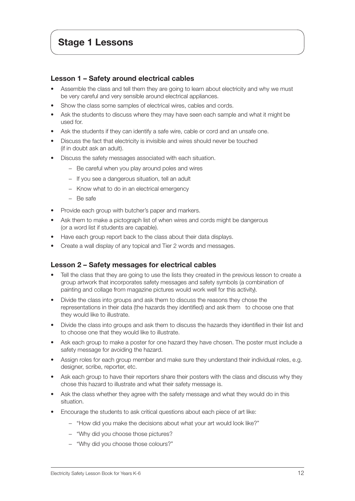### Lesson 1 – Safety around electrical cables

- Assemble the class and tell them they are going to learn about electricity and why we must be very careful and very sensible around electrical appliances.
- Show the class some samples of electrical wires, cables and cords.
- Ask the students to discuss where they may have seen each sample and what it might be used for.
- Ask the students if they can identify a safe wire, cable or cord and an unsafe one.
- Discuss the fact that electricity is invisible and wires should never be touched (if in doubt ask an adult).
- Discuss the safety messages associated with each situation.
	- − Be careful when you play around poles and wires
	- − If you see a dangerous situation, tell an adult
	- − Know what to do in an electrical emergency
	- − Be safe
- Provide each group with butcher's paper and markers.
- Ask them to make a pictograph list of when wires and cords might be dangerous (or a word list if students are capable).
- Have each group report back to the class about their data displays.
- Create a wall display of any topical and Tier 2 words and messages.

### Lesson 2 – Safety messages for electrical cables

- Tell the class that they are going to use the lists they created in the previous lesson to create a group artwork that incorporates safety messages and safety symbols (a combination of painting and collage from magazine pictures would work well for this activity).
- Divide the class into groups and ask them to discuss the reasons they chose the representations in their data (the hazards they identified) and ask them to choose one that they would like to illustrate.
- Divide the class into groups and ask them to discuss the hazards they identified in their list and to choose one that they would like to illustrate.
- Ask each group to make a poster for one hazard they have chosen. The poster must include a safety message for avoiding the hazard.
- Assign roles for each group member and make sure they understand their individual roles, e.g. designer, scribe, reporter, etc.
- Ask each group to have their reporters share their posters with the class and discuss why they chose this hazard to illustrate and what their safety message is.
- Ask the class whether they agree with the safety message and what they would do in this situation.
- Encourage the students to ask critical questions about each piece of art like:
	- − "How did you make the decisions about what your art would look like?"
	- − "Why did you choose those pictures?
	- − "Why did you choose those colours?"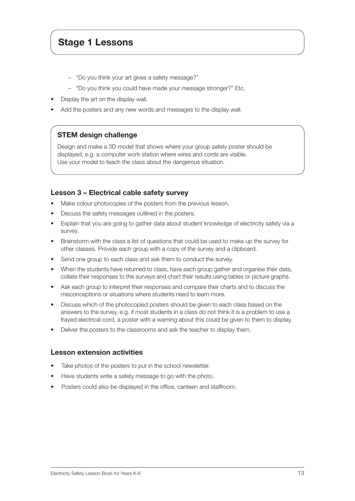## Stage 1 Lessons

- − "Do you think your art gives a safety message?"
- − "Do you think you could have made your message stronger?" Etc.
- Display the art on the display wall.
- Add the posters and any new words and messages to the display wall.

### STEM design challenge

Design and make a 3D model that shows where your group safety poster should be displayed, e.g. a computer work station where wires and cords are visible. Use your model to teach the class about the dangerous situation.

### Lesson 3 – Electrical cable safety survey

- Make colour photocopies of the posters from the previous lesson.
- Discuss the safety messages outlined in the posters.
- Explain that you are going to gather data about student knowledge of electricity safety via a survey.
- Brainstorm with the class a list of questions that could be used to make up the survey for other classes. Provide each group with a copy of the survey and a clipboard.
- Send one group to each class and ask them to conduct the survey.
- When the students have returned to class, have each group gather and organise their data, collate their responses to the surveys and chart their results using tables or picture graphs.
- Ask each group to interpret their responses and compare their charts and to discuss the misconceptions or situations where students need to learn more.
- Discuss which of the photocopied posters should be given to each class based on the answers to the survey, e.g. if most students in a class do not think it is a problem to use a frayed electrical cord, a poster with a warning about this could be given to them to display.
- Deliver the posters to the classrooms and ask the teacher to display them.

#### Lesson extension activities

- Take photos of the posters to put in the school newsletter.
- Have students write a safety message to go with the photo.
- Posters could also be displayed in the office, canteen and staffroom.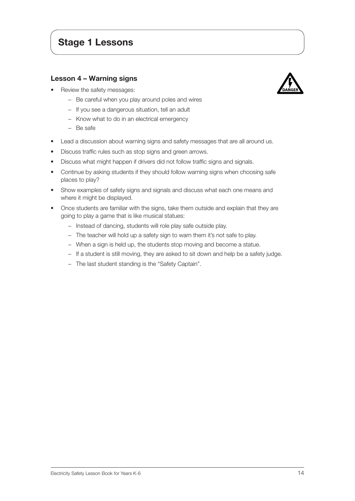## Stage 1 Lessons

#### Lesson 4 – Warning signs

• Review the safety messages:



- − Be careful when you play around poles and wires
- − If you see a dangerous situation, tell an adult
- − Know what to do in an electrical emergency
- − Be safe
- Lead a discussion about warning signs and safety messages that are all around us.
- Discuss traffic rules such as stop signs and green arrows.
- Discuss what might happen if drivers did not follow traffic signs and signals.
- Continue by asking students if they should follow warning signs when choosing safe places to play?
- Show examples of safety signs and signals and discuss what each one means and where it might be displayed.
- Once students are familiar with the signs, take them outside and explain that they are going to play a game that is like musical statues:
	- − Instead of dancing, students will role play safe outside play.
	- − The teacher will hold up a safety sign to warn them it's not safe to play.
	- − When a sign is held up, the students stop moving and become a statue.
	- − If a student is still moving, they are asked to sit down and help be a safety judge.
	- − The last student standing is the "Safety Captain".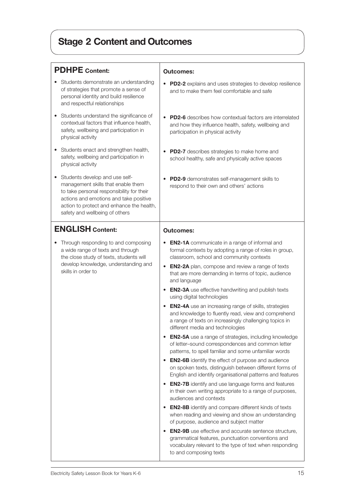# Stage 2 Content and Outcomes

| <b>PDHPE</b> Content:                                                                                                                                                                                                                      | <b>Outcomes:</b>                                                                                                                                                                                                                                                                                                                                                                                                                                                                                                                                                                                                                                                                                                                                                                                                                                                                                                                                                                                                                                                                                                                                                                                                                                                                                                                                                                                                                                                                                                                                         |
|--------------------------------------------------------------------------------------------------------------------------------------------------------------------------------------------------------------------------------------------|----------------------------------------------------------------------------------------------------------------------------------------------------------------------------------------------------------------------------------------------------------------------------------------------------------------------------------------------------------------------------------------------------------------------------------------------------------------------------------------------------------------------------------------------------------------------------------------------------------------------------------------------------------------------------------------------------------------------------------------------------------------------------------------------------------------------------------------------------------------------------------------------------------------------------------------------------------------------------------------------------------------------------------------------------------------------------------------------------------------------------------------------------------------------------------------------------------------------------------------------------------------------------------------------------------------------------------------------------------------------------------------------------------------------------------------------------------------------------------------------------------------------------------------------------------|
| Students demonstrate an understanding<br>of strategies that promote a sense of<br>personal identity and build resilience<br>and respectful relationships                                                                                   | PD2-2 explains and uses strategies to develop resilience<br>and to make them feel comfortable and safe                                                                                                                                                                                                                                                                                                                                                                                                                                                                                                                                                                                                                                                                                                                                                                                                                                                                                                                                                                                                                                                                                                                                                                                                                                                                                                                                                                                                                                                   |
| Students understand the significance of<br>contextual factors that influence health,<br>safety, wellbeing and participation in<br>physical activity                                                                                        | <b>PD2-6</b> describes how contextual factors are interrelated<br>and how they influence health, safety, wellbeing and<br>participation in physical activity                                                                                                                                                                                                                                                                                                                                                                                                                                                                                                                                                                                                                                                                                                                                                                                                                                                                                                                                                                                                                                                                                                                                                                                                                                                                                                                                                                                             |
| Students enact and strengthen health,<br>safety, wellbeing and participation in<br>physical activity                                                                                                                                       | PD2-7 describes strategies to make home and<br>school healthy, safe and physically active spaces                                                                                                                                                                                                                                                                                                                                                                                                                                                                                                                                                                                                                                                                                                                                                                                                                                                                                                                                                                                                                                                                                                                                                                                                                                                                                                                                                                                                                                                         |
| Students develop and use self-<br>management skills that enable them<br>to take personal responsibility for their<br>actions and emotions and take positive<br>action to protect and enhance the health,<br>safety and wellbeing of others | PD2-9 demonstrates self-management skills to<br>respond to their own and others' actions                                                                                                                                                                                                                                                                                                                                                                                                                                                                                                                                                                                                                                                                                                                                                                                                                                                                                                                                                                                                                                                                                                                                                                                                                                                                                                                                                                                                                                                                 |
| <b>ENGLISH Content:</b>                                                                                                                                                                                                                    | <b>Outcomes:</b>                                                                                                                                                                                                                                                                                                                                                                                                                                                                                                                                                                                                                                                                                                                                                                                                                                                                                                                                                                                                                                                                                                                                                                                                                                                                                                                                                                                                                                                                                                                                         |
| Through responding to and composing<br>a wide range of texts and through<br>the close study of texts, students will<br>develop knowledge, understanding and<br>skills in order to                                                          | <b>EN2-1A</b> communicate in a range of informal and<br>formal contexts by adopting a range of roles in group,<br>classroom, school and community contexts<br><b>EN2-2A</b> plan, compose and review a range of texts<br>$\bullet$<br>that are more demanding in terms of topic, audience<br>and language<br><b>EN2-3A</b> use effective handwriting and publish texts<br>using digital technologies<br><b>EN2-4A</b> use an increasing range of skills, strategies<br>and knowledge to fluently read, view and comprehend<br>a range of texts on increasingly challenging topics in<br>different media and technologies<br><b>EN2-5A</b> use a range of strategies, including knowledge<br>$\bullet$<br>of letter-sound correspondences and common letter<br>patterns, to spell familiar and some unfamiliar words<br><b>EN2-6B</b> identify the effect of purpose and audience<br>on spoken texts, distinguish between different forms of<br>English and identify organisational patterns and features<br><b>EN2-7B</b> identify and use language forms and features<br>٠<br>in their own writing appropriate to a range of purposes,<br>audiences and contexts<br><b>EN2-8B</b> identify and compare different kinds of texts<br>$\bullet$<br>when reading and viewing and show an understanding<br>of purpose, audience and subject matter<br><b>EN2-9B</b> use effective and accurate sentence structure,<br>grammatical features, punctuation conventions and<br>vocabulary relevant to the type of text when responding<br>to and composing texts |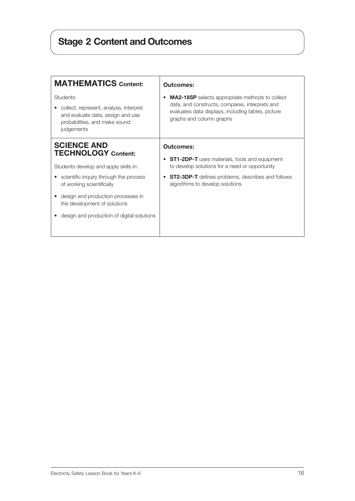# Stage 2 Content and Outcomes

| <b>MA2-18SP</b> selects appropriate methods to collect<br>data, and constructs, compares, interprets and<br>evaluates data displays, including tables, picture<br>graphs and column graphs            |
|-------------------------------------------------------------------------------------------------------------------------------------------------------------------------------------------------------|
|                                                                                                                                                                                                       |
| <b>ST1-2DP-T</b> uses materials, tools and equipment<br>to develop solutions for a need or opportunity<br><b>ST2-3DP-T</b> defines problems, describes and follows<br>algorithms to develop solutions |
|                                                                                                                                                                                                       |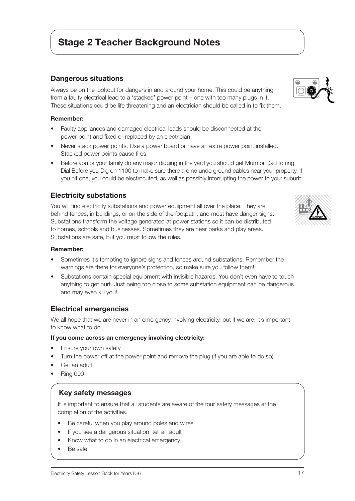## Stage 2 Teacher Background Notes

#### Dangerous situations

Always be on the lookout for dangers in and around your home. This could be anything from a faulty electrical lead to a 'stacked' power point – one with too many plugs in it. These situations could be life threatening and an electrician should be called in to fix them.

#### Remember:

- Faulty appliances and damaged electrical leads should be disconnected at the power point and fixed or replaced by an electrician.
- Never stack power points. Use a power board or have an extra power point installed. Stacked power points cause fires.
- Before you or your family do any major digging in the yard you should get Mum or Dad to ring Dial Before you Dig on 1100 to make sure there are no underground cables near your property. If you hit one, you could be electrocuted, as well as possibly interrupting the power to your suburb.

#### Electricity substations

You will find electricity substations and power equipment all over the place. They are behind fences, in buildings, or on the side of the footpath, and most have danger signs. Substations transform the voltage generated at power stations so it can be distributed to homes, schools and businesses. Sometimes they are near parks and play areas. Substations are safe, but you must follow the rules.

#### Remember:

- Sometimes it's tempting to ignore signs and fences around substations. Remember the warnings are there for everyone's protection, so make sure you follow them!
- Substations contain special equipment with invisible hazards. You don't even have to touch anything to get hurt. Just being too close to some substation equipment can be dangerous and may even kill you!

#### Electrical emergencies

We all hope that we are never in an emergency involving electricity, but if we are, it's important to know what to do.

#### If you come across an emergency involving electricity:

- Ensure your own safety
- Turn the power off at the power point and remove the plug (if you are able to do so)
- Get an adult
- Ring 000

#### Key safety messages

It is important to ensure that all students are aware of the four safety messages at the completion of the activities.

- Be careful when you play around poles and wires
- If you see a dangerous situation, tell an adult
- Know what to do in an electrical emergency
- Be safe



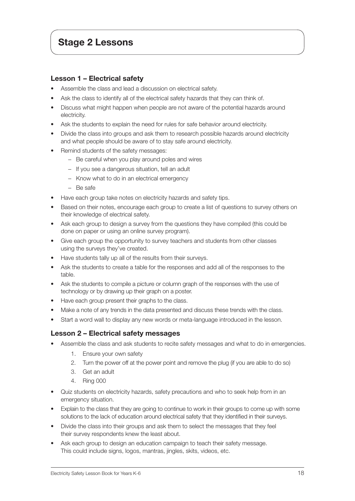### Lesson 1 – Electrical safety

- Assemble the class and lead a discussion on electrical safety.
- Ask the class to identify all of the electrical safety hazards that they can think of.
- Discuss what might happen when people are not aware of the potential hazards around electricity.
- Ask the students to explain the need for rules for safe behavior around electricity.
- Divide the class into groups and ask them to research possible hazards around electricity and what people should be aware of to stay safe around electricity.
- Remind students of the safety messages:
	- − Be careful when you play around poles and wires
	- − If you see a dangerous situation, tell an adult
	- − Know what to do in an electrical emergency
	- − Be safe
- Have each group take notes on electricity hazards and safety tips.
- Based on their notes, encourage each group to create a list of questions to survey others on their knowledge of electrical safety.
- Ask each group to design a survey from the questions they have compiled (this could be done on paper or using an online survey program).
- Give each group the opportunity to survey teachers and students from other classes using the surveys they've created.
- Have students tally up all of the results from their surveys.
- Ask the students to create a table for the responses and add all of the responses to the table.
- Ask the students to compile a picture or column graph of the responses with the use of technology or by drawing up their graph on a poster.
- Have each group present their graphs to the class.
- Make a note of any trends in the data presented and discuss these trends with the class.
- Start a word wall to display any new words or meta-language introduced in the lesson.

### Lesson 2 – Electrical safety messages

- Assemble the class and ask students to recite safety messages and what to do in emergencies.
	- 1. Ensure your own safety
	- 2. Turn the power off at the power point and remove the plug (if you are able to do so)
	- 3. Get an adult
	- 4. Ring 000
- Quiz students on electricity hazards, safety precautions and who to seek help from in an emergency situation.
- Explain to the class that they are going to continue to work in their groups to come up with some solutions to the lack of education around electrical safety that they identified in their surveys.
- Divide the class into their groups and ask them to select the messages that they feel their survey respondents knew the least about.
- Ask each group to design an education campaign to teach their safety message. This could include signs, logos, mantras, jingles, skits, videos, etc.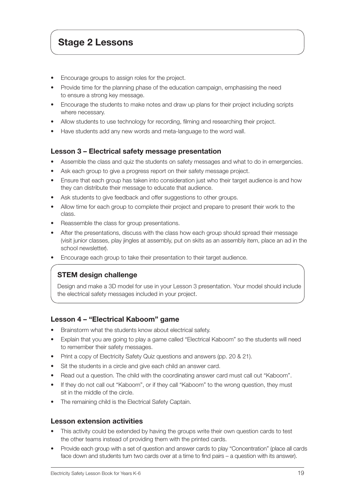## Stage 2 Lessons

- Encourage groups to assign roles for the project.
- Provide time for the planning phase of the education campaign, emphasising the need to ensure a strong key message.
- Encourage the students to make notes and draw up plans for their project including scripts where necessary.
- Allow students to use technology for recording, filming and researching their project.
- Have students add any new words and meta-language to the word wall.

### Lesson 3 – Electrical safety message presentation

- Assemble the class and quiz the students on safety messages and what to do in emergencies.
- Ask each group to give a progress report on their safety message project.
- Ensure that each group has taken into consideration just who their target audience is and how they can distribute their message to educate that audience.
- Ask students to give feedback and offer suggestions to other groups.
- Allow time for each group to complete their project and prepare to present their work to the class.
- Reassemble the class for group presentations.
- After the presentations, discuss with the class how each group should spread their message (visit junior classes, play jingles at assembly, put on skits as an assembly item, place an ad in the school newsletter).
- Encourage each group to take their presentation to their target audience.

## STEM design challenge

Design and make a 3D model for use in your Lesson 3 presentation. Your model should include the electrical safety messages included in your project.

### Lesson 4 – "Electrical Kaboom" game

- Brainstorm what the students know about electrical safety.
- Explain that you are going to play a game called "Electrical Kaboom" so the students will need to remember their safety messages.
- Print a copy of Electricity Safety Quiz questions and answers (pp. 20 & 21).
- Sit the students in a circle and give each child an answer card.
- Read out a question. The child with the coordinating answer card must call out "Kaboom".
- If they do not call out "Kaboom", or if they call "Kaboom" to the wrong question, they must sit in the middle of the circle.
- The remaining child is the Electrical Safety Captain.

### Lesson extension activities

- This activity could be extended by having the groups write their own question cards to test the other teams instead of providing them with the printed cards.
- Provide each group with a set of question and answer cards to play "Concentration" (place all cards face down and students turn two cards over at a time to find pairs – a question with its answer).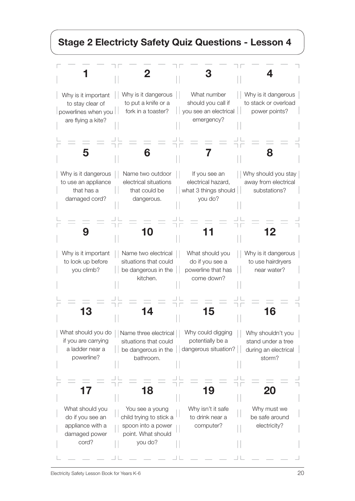# Stage 2 Electricty Safety Quiz Questions - Lesson 4

| Why is it important<br>to stay clear of<br>powerlines when you<br>are flying a kite? | Why is it dangerous<br>to put a knife or a<br>fork in a toaster?                                  | What number<br>should you call if<br>you see an electrical<br>emergency? | Why is it dangerous<br>to stack or overload<br>power points?              |
|--------------------------------------------------------------------------------------|---------------------------------------------------------------------------------------------------|--------------------------------------------------------------------------|---------------------------------------------------------------------------|
|                                                                                      |                                                                                                   |                                                                          |                                                                           |
| Why is it dangerous<br>to use an appliance<br>that has a<br>damaged cord?            | Name two outdoor<br>electrical situations<br>that could be<br>dangerous.                          | If you see an<br>electrical hazard,<br>what 3 things should<br>you do?   | Why should you stay<br>away from electrical<br>substations?               |
| 9                                                                                    | 10                                                                                                |                                                                          | 2                                                                         |
| Why is it important<br>to look up before<br>you climb?                               | Name two electrical<br>situations that could<br>be dangerous in the<br>kitchen.                   | What should you<br>do if you see a<br>powerline that has<br>come down?   | Why is it dangerous<br>to use hairdryers<br>near water?                   |
|                                                                                      |                                                                                                   |                                                                          |                                                                           |
| What should you do<br>if you are carrying<br>a ladder near a<br>powerline?           | Name three electrical<br>situations that could<br>be dangerous in the<br>bathroom.                | Why could digging<br>potentially be a<br>dangerous situation?            | Why shouldn't you<br>stand under a tree<br>during an electrical<br>storm? |
|                                                                                      | 18                                                                                                | 19                                                                       |                                                                           |
| What should you<br>do if you see an<br>appliance with a<br>damaged power<br>cord?    | You see a young<br>child trying to stick a<br>spoon into a power<br>point. What should<br>you do? | Why isn't it safe<br>to drink near a<br>computer?                        | Why must we<br>be safe around<br>electricity?                             |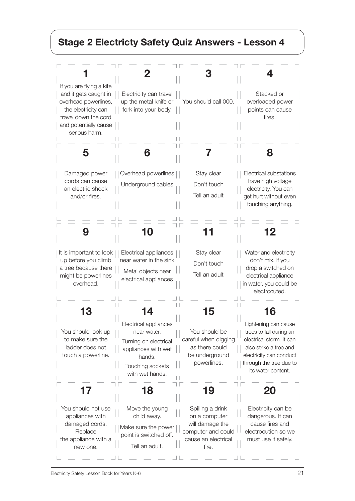# Stage 2 Electricty Safety Quiz Answers - Lesson 4

| If you are flying a kite<br>and it gets caught in<br>overhead powerlines,<br>the electricity can<br>travel down the cord<br>and potentially cause<br>serious harm. | 2<br>Electricity can travel<br>up the metal knife or<br>fork into your body.                                                          | You should call 000.                                                                                             | Stacked or<br>overloaded power<br>points can cause<br>fires.                                                                                                                      |
|--------------------------------------------------------------------------------------------------------------------------------------------------------------------|---------------------------------------------------------------------------------------------------------------------------------------|------------------------------------------------------------------------------------------------------------------|-----------------------------------------------------------------------------------------------------------------------------------------------------------------------------------|
| 5                                                                                                                                                                  |                                                                                                                                       |                                                                                                                  | 8                                                                                                                                                                                 |
| Damaged power<br>cords can cause<br>an electric shock<br>and/or fires.                                                                                             | Overhead powerlines<br>Underground cables                                                                                             | Stay clear<br>Don't touch<br>Tell an adult                                                                       | Electrical substations<br>have high voltage<br>electricity. You can<br>get hurt without even<br>touching anything.                                                                |
| g                                                                                                                                                                  |                                                                                                                                       |                                                                                                                  | 12                                                                                                                                                                                |
| It is important to look<br>up before you climb<br>a tree because there<br>might be powerlines<br>overhead.                                                         | Electrical appliances<br>near water in the sink<br>Metal objects near<br>electrical appliances                                        | Stay clear<br>Don't touch<br>Tell an adult                                                                       | Water and electricity<br>don't mix. If you<br>drop a switched on<br>electrical appliance<br>in water, you could be<br>electrocuted.                                               |
| You should look up<br>to make sure the<br>ladder does not<br>touch a powerline.                                                                                    | Electrical appliances<br>near water.<br>Turning on electrical<br>appliances with wet<br>hands.<br>Touching sockets<br>with wet hands. | You should be<br>careful when digging<br>as there could<br>be underground<br>powerlines.                         | Lightening can cause<br>trees to fall during an<br>electrical storm. It can<br>also strike a tree and<br>electricity can conduct<br>through the tree due to<br>its water content. |
| 17<br>You should not use<br>appliances with<br>damaged cords.<br>Replace<br>the appliance with a<br>new one.                                                       | 18<br>Move the young<br>child away.<br>Make sure the power<br>point is switched off.<br>Tell an adult.                                | 19<br>Spilling a drink<br>on a computer<br>will damage the<br>computer and could<br>cause an electrical<br>fire. | 20<br>Electricity can be<br>dangerous. It can<br>cause fires and<br>electrocution so we<br>must use it safely.                                                                    |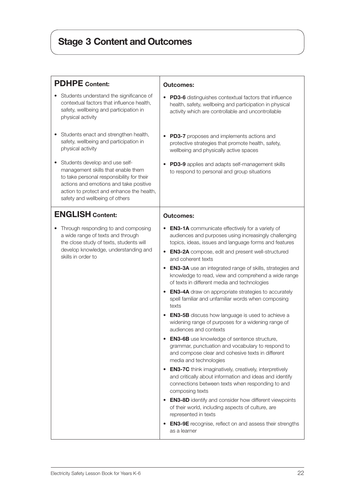# Stage 3 Content and Outcomes

| <b>PDHPE</b> Content:                                                                                                                                                                                                                           |                                                                                                                                                                                                                                                                                                                                                                                                                                                                                                                                                                                                                                                                                                                                                                                                                                                                                                                                                                                                                                                                                                                                                                                                                                                                                                                                                                                     |
|-------------------------------------------------------------------------------------------------------------------------------------------------------------------------------------------------------------------------------------------------|-------------------------------------------------------------------------------------------------------------------------------------------------------------------------------------------------------------------------------------------------------------------------------------------------------------------------------------------------------------------------------------------------------------------------------------------------------------------------------------------------------------------------------------------------------------------------------------------------------------------------------------------------------------------------------------------------------------------------------------------------------------------------------------------------------------------------------------------------------------------------------------------------------------------------------------------------------------------------------------------------------------------------------------------------------------------------------------------------------------------------------------------------------------------------------------------------------------------------------------------------------------------------------------------------------------------------------------------------------------------------------------|
| Students understand the significance of<br>contextual factors that influence health,<br>safety, wellbeing and participation in<br>physical activity                                                                                             | <b>Outcomes:</b><br><b>PD3-6</b> distinguishes contextual factors that influence<br>$\bullet$<br>health, safety, wellbeing and participation in physical<br>activity which are controllable and uncontrollable                                                                                                                                                                                                                                                                                                                                                                                                                                                                                                                                                                                                                                                                                                                                                                                                                                                                                                                                                                                                                                                                                                                                                                      |
| Students enact and strengthen health,<br>٠<br>safety, wellbeing and participation in<br>physical activity                                                                                                                                       | <b>PD3-7</b> proposes and implements actions and<br>protective strategies that promote health, safety,<br>wellbeing and physically active spaces                                                                                                                                                                                                                                                                                                                                                                                                                                                                                                                                                                                                                                                                                                                                                                                                                                                                                                                                                                                                                                                                                                                                                                                                                                    |
| Students develop and use self-<br>٠<br>management skills that enable them<br>to take personal responsibility for their<br>actions and emotions and take positive<br>action to protect and enhance the health,<br>safety and wellbeing of others | PD3-9 applies and adapts self-management skills<br>to respond to personal and group situations                                                                                                                                                                                                                                                                                                                                                                                                                                                                                                                                                                                                                                                                                                                                                                                                                                                                                                                                                                                                                                                                                                                                                                                                                                                                                      |
| <b>ENGLISH Content:</b>                                                                                                                                                                                                                         | <b>Outcomes:</b>                                                                                                                                                                                                                                                                                                                                                                                                                                                                                                                                                                                                                                                                                                                                                                                                                                                                                                                                                                                                                                                                                                                                                                                                                                                                                                                                                                    |
| Through responding to and composing<br>a wide range of texts and through<br>the close study of texts, students will<br>develop knowledge, understanding and<br>skills in order to                                                               | <b>EN3-1A</b> communicate effectively for a variety of<br>audiences and purposes using increasingly challenging<br>topics, ideas, issues and language forms and features<br><b>EN3-2A</b> compose, edit and present well-structured<br>$\bullet$<br>and coherent texts<br><b>EN3-3A</b> use an integrated range of skills, strategies and<br>٠<br>knowledge to read, view and comprehend a wide range<br>of texts in different media and technologies<br><b>EN3-4A</b> draw on appropriate strategies to accurately<br>$\bullet$<br>spell familiar and unfamiliar words when composing<br>texts<br><b>EN3-5B</b> discuss how language is used to achieve a<br>widening range of purposes for a widening range of<br>audiences and contexts<br><b>EN3-6B</b> use knowledge of sentence structure,<br>grammar, punctuation and vocabulary to respond to<br>and compose clear and cohesive texts in different<br>media and technologies<br><b>EN3-7C</b> think imaginatively, creatively, interpretively<br>$\bullet$<br>and critically about information and ideas and identify<br>connections between texts when responding to and<br>composing texts<br><b>EN3-8D</b> identify and consider how different viewpoints<br>of their world, including aspects of culture, are<br>represented in texts<br><b>EN3-9E</b> recognise, reflect on and assess their strengths<br>as a learner |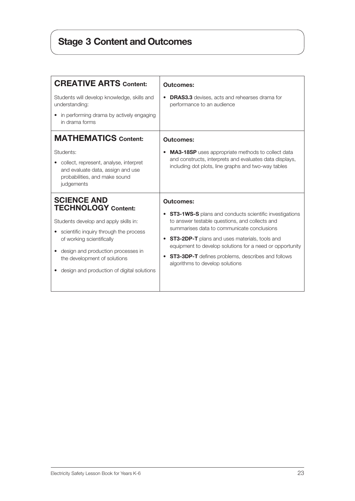# Stage 3 Content and Outcomes

| <b>CREATIVE ARTS Content:</b>                                                                                                                                                                                                                                                        | <b>Outcomes:</b>                                                                                                                                                                                                                                                                                                                                                                                                  |
|--------------------------------------------------------------------------------------------------------------------------------------------------------------------------------------------------------------------------------------------------------------------------------------|-------------------------------------------------------------------------------------------------------------------------------------------------------------------------------------------------------------------------------------------------------------------------------------------------------------------------------------------------------------------------------------------------------------------|
| Students will develop knowledge, skills and<br>understanding:<br>• in performing drama by actively engaging<br>in drama forms                                                                                                                                                        | <b>DRAS3.3</b> devises, acts and rehearses drama for<br>٠<br>performance to an audience                                                                                                                                                                                                                                                                                                                           |
| <b>MATHEMATICS Content:</b>                                                                                                                                                                                                                                                          | <b>Outcomes:</b>                                                                                                                                                                                                                                                                                                                                                                                                  |
| Students:<br>collect, represent, analyse, interpret<br>and evaluate data, assign and use<br>probabilities, and make sound<br>judgements                                                                                                                                              | <b>MA3-18SP</b> uses appropriate methods to collect data<br>٠<br>and constructs, interprets and evaluates data displays,<br>including dot plots, line graphs and two-way tables                                                                                                                                                                                                                                   |
| <b>SCIENCE AND</b><br><b>TECHNOLOGY</b> Content:<br>Students develop and apply skills in:<br>scientific inquiry through the process<br>of working scientifically<br>design and production processes in<br>the development of solutions<br>design and production of digital solutions | <b>Outcomes:</b><br><b>ST3-1WS-S</b> plans and conducts scientific investigations<br>to answer testable questions, and collects and<br>summarises data to communicate conclusions<br><b>ST3-2DP-T</b> plans and uses materials, tools and<br>$\bullet$<br>equipment to develop solutions for a need or opportunity<br><b>ST3-3DP-T</b> defines problems, describes and follows<br>algorithms to develop solutions |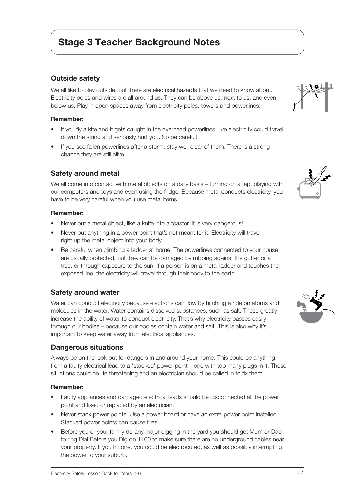## Stage 3 Teacher Background Notes

### Outside safety

We all like to play outside, but there are electrical hazards that we need to know about. Electricity poles and wires are all around us. They can be above us, next to us, and even below us. Play in open spaces away from electricity poles, towers and powerlines.

#### Remember:

- If you fly a kite and it gets caught in the overhead powerlines, live electricity could travel down the string and seriously hurt you. So be careful!
- If you see fallen powerlines after a storm, stay well clear of them. There is a strong chance they are still alive.

### Safety around metal

We all come into contact with metal objects on a daily basis – turning on a tap, playing with our computers and toys and even using the fridge. Because metal conducts electricity, you have to be very careful when you use metal items.

#### Remember:

- Never put a metal object, like a knife into a toaster. It is very dangerous!
- Never put anything in a power point that's not meant for it. Electricity will travel right up the metal object into your body.
- Be careful when climbing a ladder at home. The powerlines connected to your house are usually protected, but they can be damaged by rubbing against the gutter or a tree, or through exposure to the sun. If a person is on a metal ladder and touches the exposed line, the electricity will travel through their body to the earth.

### Safety around water

Water can conduct electricity because electrons can flow by hitching a ride on atoms and molecules in the water. Water contains dissolved substances, such as salt. These greatly increase the ability of water to conduct electricity. That's why electricity passes easily through our bodies – because our bodies contain water and salt. This is also why it's important to keep water away from electrical appliances.

#### Dangerous situations

Always be on the look out for dangers in and around your home. This could be anything from a faulty electrical lead to a 'stacked' power point – one with too many plugs in it. These situations could be life threatening and an electrician should be called in to fix them.

#### Remember:

- Faulty appliances and damaged electrical leads should be disconnected at the power point and fixed or replaced by an electrician.
- Never stack power points. Use a power board or have an extra power point installed. Stacked power points can cause fires.
- Before you or your family do any major digging in the yard you should get Mum or Dad to ring Dial Before you Dig on 1100 to make sure there are no underground cables near your property. If you hit one, you could be electrocuted, as well as possibly interrupting the power to your suburb.





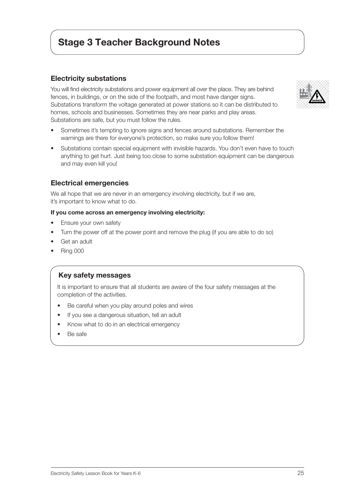## Stage 3 Teacher Background Notes

### Electricity substations

You will find electricity substations and power equipment all over the place. They are behind fences, in buildings, or on the side of the footpath, and most have danger signs. Substations transform the voltage generated at power stations so it can be distributed to homes, schools and businesses. Sometimes they are near parks and play areas. Substations are safe, but you must follow the rules.

- Sometimes it's tempting to ignore signs and fences around substations. Remember the warnings are there for everyone's protection, so make sure you follow them!
- Substations contain special equipment with invisible hazards. You don't even have to touch anything to get hurt. Just being too close to some substation equipment can be dangerous and may even kill you!

#### Electrical emergencies

We all hope that we are never in an emergency involving electricity, but if we are, it's important to know what to do.

#### If you come across an emergency involving electricity:

- Ensure your own safety
- Turn the power off at the power point and remove the plug (if you are able to do so)
- Get an adult
- Ring 000

#### Key safety messages

It is important to ensure that all students are aware of the four safety messages at the completion of the activities.

- Be careful when you play around poles and wires
- If you see a dangerous situation, tell an adult
- Know what to do in an electrical emergency
- Be safe

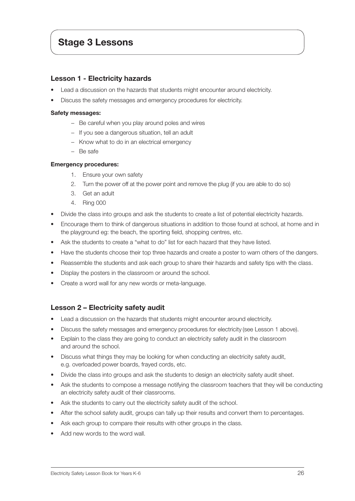### Lesson 1 - Electricity hazards

- Lead a discussion on the hazards that students might encounter around electricity.
- Discuss the safety messages and emergency procedures for electricity.

#### Safety messages:

- − Be careful when you play around poles and wires
- − If you see a dangerous situation, tell an adult
- − Know what to do in an electrical emergency
- − Be safe

#### Emergency procedures:

- 1. Ensure your own safety
- 2. Turn the power off at the power point and remove the plug (if you are able to do so)
- 3. Get an adult
- 4. Ring 000
- Divide the class into groups and ask the students to create a list of potential electricity hazards.
- Encourage them to think of dangerous situations in addition to those found at school, at home and in the playground eg: the beach, the sporting field, shopping centres, etc.
- Ask the students to create a "what to do" list for each hazard that they have listed.
- Have the students choose their top three hazards and create a poster to warn others of the dangers.
- Reassemble the students and ask each group to share their hazards and safety tips with the class.
- Display the posters in the classroom or around the school.
- Create a word wall for any new words or meta-language.

### Lesson 2 – Electricity safety audit

- Lead a discussion on the hazards that students might encounter around electricity.
- Discuss the safety messages and emergency procedures for electricity (see Lesson 1 above).
- Explain to the class they are going to conduct an electricity safety audit in the classroom and around the school.
- Discuss what things they may be looking for when conducting an electricity safety audit, e.g. overloaded power boards, frayed cords, etc.
- Divide the class into groups and ask the students to design an electricity safety audit sheet.
- Ask the students to compose a message notifying the classroom teachers that they will be conducting an electricity safety audit of their classrooms.
- Ask the students to carry out the electricity safety audit of the school.
- After the school safety audit, groups can tally up their results and convert them to percentages.
- Ask each group to compare their results with other groups in the class.
- Add new words to the word wall.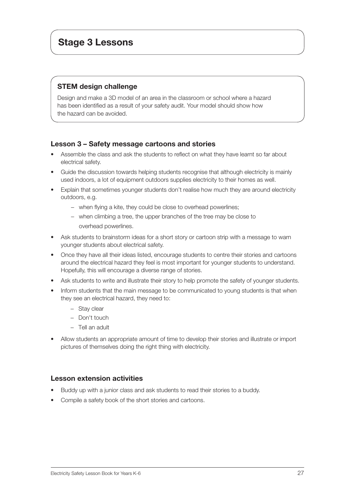## STEM design challenge

Design and make a 3D model of an area in the classroom or school where a hazard has been identified as a result of your safety audit. Your model should show how the hazard can be avoided.

### Lesson 3 – Safety message cartoons and stories

- Assemble the class and ask the students to reflect on what they have learnt so far about electrical safety.
- Guide the discussion towards helping students recognise that although electricity is mainly used indoors, a lot of equipment outdoors supplies electricity to their homes as well.
- Explain that sometimes younger students don't realise how much they are around electricity outdoors, e.g.
	- − when flying a kite, they could be close to overhead powerlines;
	- − when climbing a tree, the upper branches of the tree may be close to overhead powerlines.
- Ask students to brainstorm ideas for a short story or cartoon strip with a message to warn younger students about electrical safety.
- Once they have all their ideas listed, encourage students to centre their stories and cartoons around the electrical hazard they feel is most important for younger students to understand. Hopefully, this will encourage a diverse range of stories.
- Ask students to write and illustrate their story to help promote the safety of younger students.
- Inform students that the main message to be communicated to young students is that when they see an electrical hazard, they need to:
	- − Stay clear
	- − Don't touch
	- − Tell an adult
- Allow students an appropriate amount of time to develop their stories and illustrate or import pictures of themselves doing the right thing with electricity.

### Lesson extension activities

- Buddy up with a junior class and ask students to read their stories to a buddy.
- Compile a safety book of the short stories and cartoons.